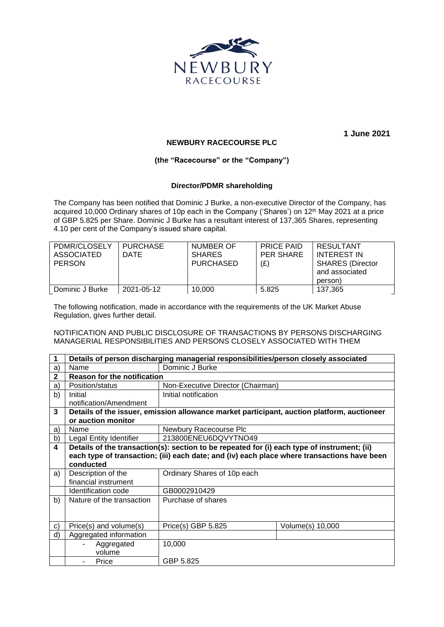

**1 June 2021**

## **NEWBURY RACECOURSE PLC**

## **(the "Racecourse" or the "Company")**

## **Director/PDMR shareholding**

The Company has been notified that Dominic J Burke, a non-executive Director of the Company, has acquired 10,000 Ordinary shares of 10p each in the Company ('Shares') on 12<sup>th</sup> May 2021 at a price of GBP 5.825 per Share. Dominic J Burke has a resultant interest of 137,365 Shares, representing 4.10 per cent of the Company's issued share capital.

| PDMR/CLOSELY<br>ASSOCIATED<br><b>PERSON</b> | <b>PURCHASE</b><br>DATE | NUMBER OF<br><b>SHARES</b><br><b>PURCHASED</b> | <b>PRICE PAID</b><br>PER SHARE<br>(E) | RESULTANT<br>INTEREST IN<br><b>SHARES (Director</b><br>and associated<br>person) |
|---------------------------------------------|-------------------------|------------------------------------------------|---------------------------------------|----------------------------------------------------------------------------------|
| Dominic J Burke                             | 2021-05-12              | 10.000                                         | 5.825                                 | 137.365                                                                          |

The following notification, made in accordance with the requirements of the UK Market Abuse Regulation, gives further detail.

NOTIFICATION AND PUBLIC DISCLOSURE OF TRANSACTIONS BY PERSONS DISCHARGING MANAGERIAL RESPONSIBILITIES AND PERSONS CLOSELY ASSOCIATED WITH THEM

| 1            | Details of person discharging managerial responsibilities/person closely associated         |                                   |                  |  |  |  |
|--------------|---------------------------------------------------------------------------------------------|-----------------------------------|------------------|--|--|--|
| a)           | Name                                                                                        | Dominic J Burke                   |                  |  |  |  |
| $\mathbf{2}$ | <b>Reason for the notification</b>                                                          |                                   |                  |  |  |  |
| a)           | Position/status                                                                             | Non-Executive Director (Chairman) |                  |  |  |  |
| b)           | Initial                                                                                     | Initial notification              |                  |  |  |  |
|              | notification/Amendment                                                                      |                                   |                  |  |  |  |
| 3            | Details of the issuer, emission allowance market participant, auction platform, auctioneer  |                                   |                  |  |  |  |
|              | or auction monitor                                                                          |                                   |                  |  |  |  |
| a)           | Name                                                                                        | Newbury Racecourse Plc            |                  |  |  |  |
| b)           | Legal Entity Identifier                                                                     | 213800ENEU6DQVYTNO49              |                  |  |  |  |
| 4            | Details of the transaction(s): section to be repeated for (i) each type of instrument; (ii) |                                   |                  |  |  |  |
|              | each type of transaction; (iii) each date; and (iv) each place where transactions have been |                                   |                  |  |  |  |
|              | conducted                                                                                   |                                   |                  |  |  |  |
| a)           | Description of the                                                                          | Ordinary Shares of 10p each       |                  |  |  |  |
|              | financial instrument                                                                        |                                   |                  |  |  |  |
|              | Identification code                                                                         | GB0002910429                      |                  |  |  |  |
| b)           | Nature of the transaction                                                                   | Purchase of shares                |                  |  |  |  |
|              |                                                                                             |                                   |                  |  |  |  |
|              |                                                                                             |                                   |                  |  |  |  |
| $\mathbf{c}$ | Price(s) and volume(s)                                                                      | Price(s) GBP 5.825                | Volume(s) 10,000 |  |  |  |
| d)           | Aggregated information                                                                      |                                   |                  |  |  |  |
|              | Aggregated                                                                                  | 10,000                            |                  |  |  |  |
|              | volume                                                                                      |                                   |                  |  |  |  |
|              | Price                                                                                       | GBP 5.825                         |                  |  |  |  |